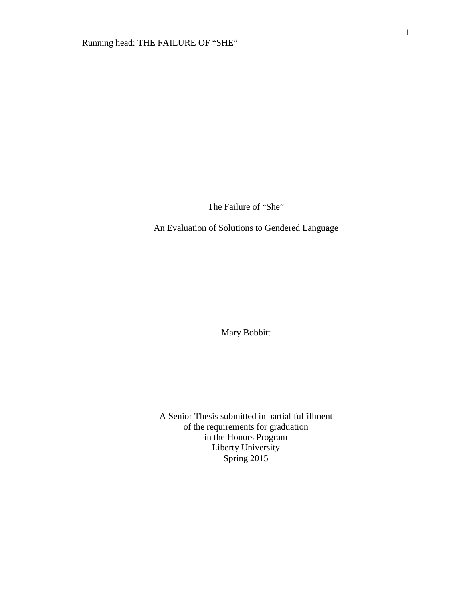The Failure of "She"

An Evaluation of Solutions to Gendered Language

Mary Bobbitt

A Senior Thesis submitted in partial fulfillment of the requirements for graduation in the Honors Program Liberty University Spring 2015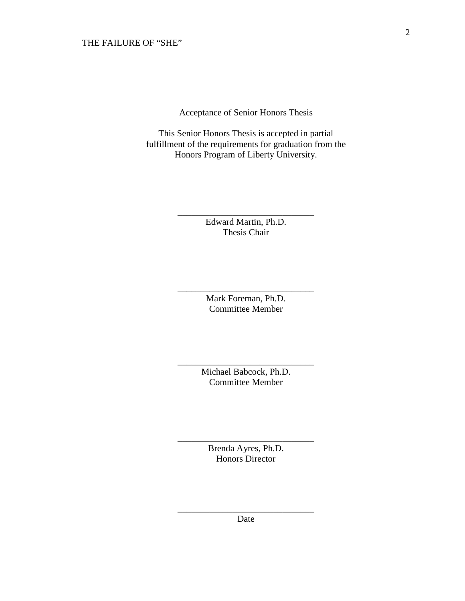Acceptance of Senior Honors Thesis

This Senior Honors Thesis is accepted in partial fulfillment of the requirements for graduation from the Honors Program of Liberty University.

> Edward Martin, Ph.D. Thesis Chair

\_\_\_\_\_\_\_\_\_\_\_\_\_\_\_\_\_\_\_\_\_\_\_\_\_\_\_\_\_\_

Mark Foreman, Ph.D. Committee Member

\_\_\_\_\_\_\_\_\_\_\_\_\_\_\_\_\_\_\_\_\_\_\_\_\_\_\_\_\_\_

Michael Babcock, Ph.D. Committee Member

\_\_\_\_\_\_\_\_\_\_\_\_\_\_\_\_\_\_\_\_\_\_\_\_\_\_\_\_\_\_

Brenda Ayres, Ph.D. Honors Director

\_\_\_\_\_\_\_\_\_\_\_\_\_\_\_\_\_\_\_\_\_\_\_\_\_\_\_\_\_\_

\_\_\_\_\_\_\_\_\_\_\_\_\_\_\_\_\_\_\_\_\_\_\_\_\_\_\_\_\_\_ Date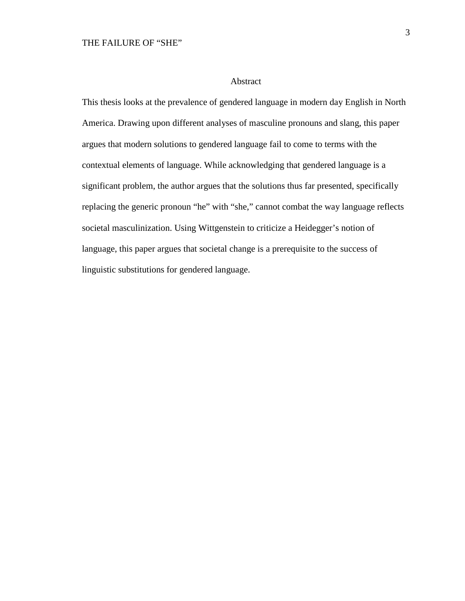#### Abstract

This thesis looks at the prevalence of gendered language in modern day English in North America. Drawing upon different analyses of masculine pronouns and slang, this paper argues that modern solutions to gendered language fail to come to terms with the contextual elements of language. While acknowledging that gendered language is a significant problem, the author argues that the solutions thus far presented, specifically replacing the generic pronoun "he" with "she," cannot combat the way language reflects societal masculinization. Using Wittgenstein to criticize a Heidegger's notion of language, this paper argues that societal change is a prerequisite to the success of linguistic substitutions for gendered language.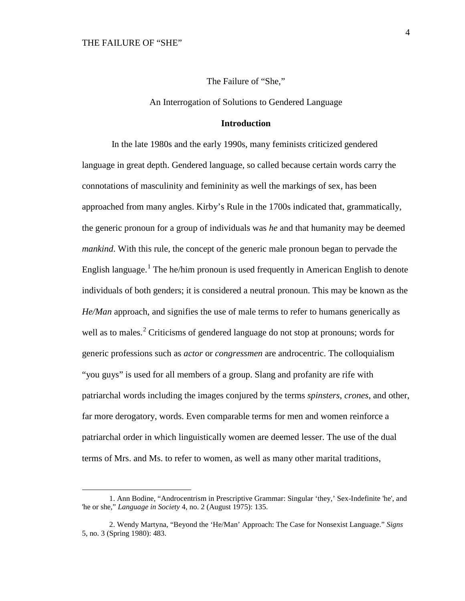$\overline{a}$ 

The Failure of "She,"

An Interrogation of Solutions to Gendered Language

#### **Introduction**

In the late 1980s and the early 1990s, many feminists criticized gendered language in great depth. Gendered language, so called because certain words carry the connotations of masculinity and femininity as well the markings of sex, has been approached from many angles. Kirby's Rule in the 1700s indicated that, grammatically, the generic pronoun for a group of individuals was *he* and that humanity may be deemed *mankind*. With this rule, the concept of the generic male pronoun began to pervade the English language.<sup>[1](#page-3-0)</sup> The he/him pronoun is used frequently in American English to denote individuals of both genders; it is considered a neutral pronoun. This may be known as the *He/Man* approach, and signifies the use of male terms to refer to humans generically as well as to males.<sup>[2](#page-3-1)</sup> Criticisms of gendered language do not stop at pronouns; words for generic professions such as *actor* or *congressmen* are androcentric. The colloquialism "you guys" is used for all members of a group. Slang and profanity are rife with patriarchal words including the images conjured by the terms *spinsters*, *crones*, and other, far more derogatory, words. Even comparable terms for men and women reinforce a patriarchal order in which linguistically women are deemed lesser. The use of the dual terms of Mrs. and Ms. to refer to women, as well as many other marital traditions,

<span id="page-3-0"></span><sup>1.</sup> Ann Bodine, "Androcentrism in Prescriptive Grammar: Singular 'they,' Sex-Indefinite 'he', and 'he or she," *Language in Society* 4, no. 2 (August 1975): 135.

<span id="page-3-1"></span><sup>2.</sup> Wendy Martyna, "Beyond the 'He/Man' Approach: The Case for Nonsexist Language." *Signs* 5, no. 3 (Spring 1980): 483.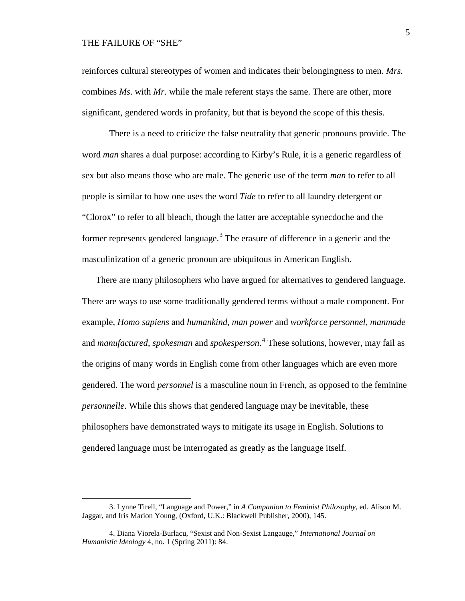$\overline{a}$ 

reinforces cultural stereotypes of women and indicates their belongingness to men. *Mrs.* combines *Ms*. with *Mr*. while the male referent stays the same. There are other, more significant, gendered words in profanity, but that is beyond the scope of this thesis.

There is a need to criticize the false neutrality that generic pronouns provide. The word *man* shares a dual purpose: according to Kirby's Rule, it is a generic regardless of sex but also means those who are male. The generic use of the term *man* to refer to all people is similar to how one uses the word *Tide* to refer to all laundry detergent or "Clorox" to refer to all bleach, though the latter are acceptable synecdoche and the former represents gendered language.<sup>[3](#page-4-0)</sup> The erasure of difference in a generic and the masculinization of a generic pronoun are ubiquitous in American English.

There are many philosophers who have argued for alternatives to gendered language. There are ways to use some traditionally gendered terms without a male component. For example, *Homo sapiens* and *humankind*, *man power* and *workforce personnel*, *manmade* and *manufactured*, *spokesman* and *spokesperson*. [4](#page-4-1) These solutions, however, may fail as the origins of many words in English come from other languages which are even more gendered. The word *personnel* is a masculine noun in French, as opposed to the feminine *personnelle*. While this shows that gendered language may be inevitable, these philosophers have demonstrated ways to mitigate its usage in English. Solutions to gendered language must be interrogated as greatly as the language itself.

<span id="page-4-0"></span><sup>3.</sup> Lynne Tirell, "Language and Power," in *A Companion to Feminist Philosophy*, ed. Alison M. Jaggar, and Iris Marion Young, (Oxford, U.K.: Blackwell Publisher, 2000), 145.

<span id="page-4-1"></span><sup>4.</sup> Diana Viorela-Burlacu, "Sexist and Non-Sexist Langauge," *International Journal on Humanistic Ideology* 4, no. 1 (Spring 2011): 84.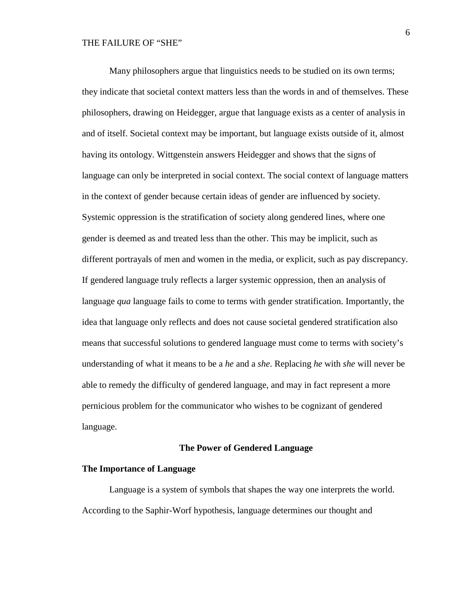Many philosophers argue that linguistics needs to be studied on its own terms; they indicate that societal context matters less than the words in and of themselves. These philosophers, drawing on Heidegger, argue that language exists as a center of analysis in and of itself. Societal context may be important, but language exists outside of it, almost having its ontology. Wittgenstein answers Heidegger and shows that the signs of language can only be interpreted in social context. The social context of language matters in the context of gender because certain ideas of gender are influenced by society. Systemic oppression is the stratification of society along gendered lines, where one gender is deemed as and treated less than the other. This may be implicit, such as different portrayals of men and women in the media, or explicit, such as pay discrepancy. If gendered language truly reflects a larger systemic oppression, then an analysis of language *qua* language fails to come to terms with gender stratification. Importantly, the idea that language only reflects and does not cause societal gendered stratification also means that successful solutions to gendered language must come to terms with society's understanding of what it means to be a *he* and a *she*. Replacing *he* with *she* will never be able to remedy the difficulty of gendered language, and may in fact represent a more pernicious problem for the communicator who wishes to be cognizant of gendered language.

#### **The Power of Gendered Language**

#### **The Importance of Language**

Language is a system of symbols that shapes the way one interprets the world. According to the Saphir-Worf hypothesis, language determines our thought and

6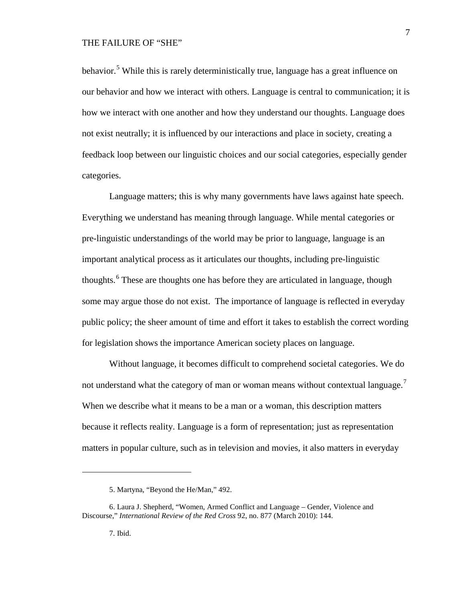behavior.<sup>[5](#page-6-0)</sup> While this is rarely deterministically true, language has a great influence on our behavior and how we interact with others. Language is central to communication; it is how we interact with one another and how they understand our thoughts. Language does not exist neutrally; it is influenced by our interactions and place in society, creating a feedback loop between our linguistic choices and our social categories, especially gender categories.

Language matters; this is why many governments have laws against hate speech. Everything we understand has meaning through language. While mental categories or pre-linguistic understandings of the world may be prior to language, language is an important analytical process as it articulates our thoughts, including pre-linguistic thoughts.<sup>[6](#page-6-1)</sup> These are thoughts one has before they are articulated in language, though some may argue those do not exist. The importance of language is reflected in everyday public policy; the sheer amount of time and effort it takes to establish the correct wording for legislation shows the importance American society places on language.

Without language, it becomes difficult to comprehend societal categories. We do not understand what the category of man or woman means without contextual language.<sup>[7](#page-6-2)</sup> When we describe what it means to be a man or a woman, this description matters because it reflects reality. Language is a form of representation; just as representation matters in popular culture, such as in television and movies, it also matters in everyday

7

<sup>5.</sup> Martyna, "Beyond the He/Man," 492.

<span id="page-6-2"></span><span id="page-6-1"></span><span id="page-6-0"></span><sup>6.</sup> Laura J. Shepherd, "Women, Armed Conflict and Language – Gender, Violence and Discourse," *International Review of the Red Cross* 92, no. 877 (March 2010): 144.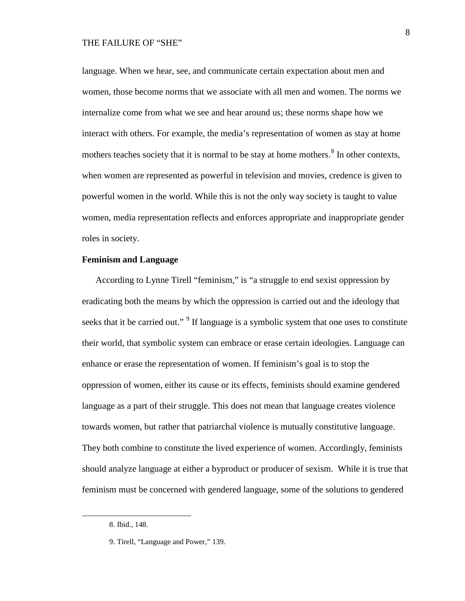language. When we hear, see, and communicate certain expectation about men and women, those become norms that we associate with all men and women. The norms we internalize come from what we see and hear around us; these norms shape how we interact with others. For example, the media's representation of women as stay at home mothers teaches society that it is normal to be stay at home mothers.<sup>[8](#page-7-0)</sup> In other contexts, when women are represented as powerful in television and movies, credence is given to powerful women in the world. While this is not the only way society is taught to value women, media representation reflects and enforces appropriate and inappropriate gender roles in society.

## **Feminism and Language**

According to Lynne Tirell "feminism," is "a struggle to end sexist oppression by eradicating both the means by which the oppression is carried out and the ideology that seeks that it be carried out."<sup>[9](#page-7-1)</sup> If language is a symbolic system that one uses to constitute their world, that symbolic system can embrace or erase certain ideologies. Language can enhance or erase the representation of women. If feminism's goal is to stop the oppression of women, either its cause or its effects, feminists should examine gendered language as a part of their struggle. This does not mean that language creates violence towards women, but rather that patriarchal violence is mutually constitutive language. They both combine to constitute the lived experience of women. Accordingly, feminists should analyze language at either a byproduct or producer of sexism. While it is true that feminism must be concerned with gendered language, some of the solutions to gendered

<span id="page-7-0"></span><sup>8.</sup> Ibid., 148.

<span id="page-7-1"></span><sup>9.</sup> Tirell, "Language and Power," 139.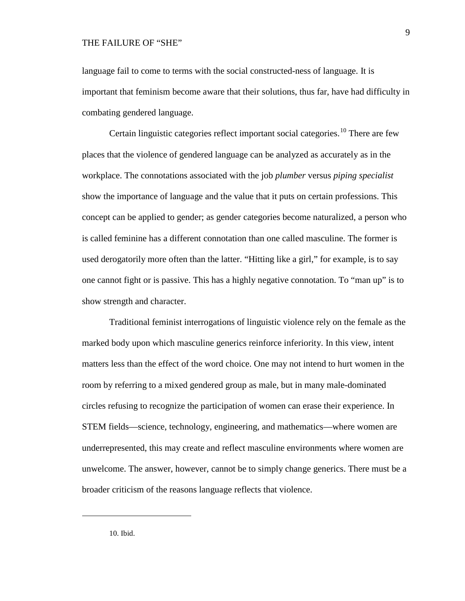language fail to come to terms with the social constructed-ness of language. It is important that feminism become aware that their solutions, thus far, have had difficulty in combating gendered language.

Certain linguistic categories reflect important social categories.<sup>[10](#page-8-0)</sup> There are few places that the violence of gendered language can be analyzed as accurately as in the workplace. The connotations associated with the job *plumber* versus *piping specialist* show the importance of language and the value that it puts on certain professions. This concept can be applied to gender; as gender categories become naturalized, a person who is called feminine has a different connotation than one called masculine. The former is used derogatorily more often than the latter. "Hitting like a girl," for example, is to say one cannot fight or is passive. This has a highly negative connotation. To "man up" is to show strength and character.

Traditional feminist interrogations of linguistic violence rely on the female as the marked body upon which masculine generics reinforce inferiority. In this view, intent matters less than the effect of the word choice. One may not intend to hurt women in the room by referring to a mixed gendered group as male, but in many male-dominated circles refusing to recognize the participation of women can erase their experience. In STEM fields—science, technology, engineering, and mathematics—where women are underrepresented, this may create and reflect masculine environments where women are unwelcome. The answer, however, cannot be to simply change generics. There must be a broader criticism of the reasons language reflects that violence.

<span id="page-8-0"></span>10. Ibid.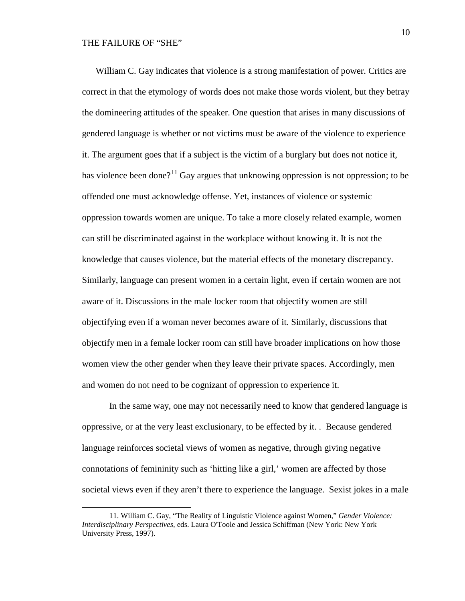$\overline{a}$ 

William C. Gay indicates that violence is a strong manifestation of power. Critics are correct in that the etymology of words does not make those words violent, but they betray the domineering attitudes of the speaker. One question that arises in many discussions of gendered language is whether or not victims must be aware of the violence to experience it. The argument goes that if a subject is the victim of a burglary but does not notice it, has violence been done?<sup>[11](#page-9-0)</sup> Gay argues that unknowing oppression is not oppression; to be offended one must acknowledge offense. Yet, instances of violence or systemic oppression towards women are unique. To take a more closely related example, women can still be discriminated against in the workplace without knowing it. It is not the knowledge that causes violence, but the material effects of the monetary discrepancy. Similarly, language can present women in a certain light, even if certain women are not aware of it. Discussions in the male locker room that objectify women are still objectifying even if a woman never becomes aware of it. Similarly, discussions that objectify men in a female locker room can still have broader implications on how those women view the other gender when they leave their private spaces. Accordingly, men and women do not need to be cognizant of oppression to experience it.

In the same way, one may not necessarily need to know that gendered language is oppressive, or at the very least exclusionary, to be effected by it. . Because gendered language reinforces societal views of women as negative, through giving negative connotations of femininity such as 'hitting like a girl,' women are affected by those societal views even if they aren't there to experience the language. Sexist jokes in a male

<span id="page-9-0"></span><sup>11.</sup> William C. Gay, "The Reality of Linguistic Violence against Women," *Gender Violence: Interdisciplinary Perspectives*, eds. Laura O'Toole and Jessica Schiffman (New York: New York University Press, 1997).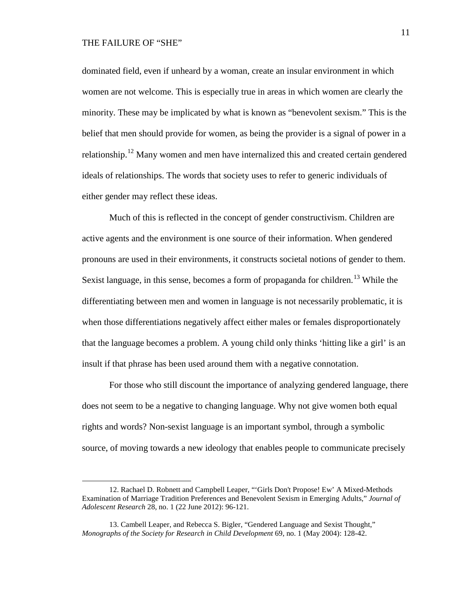$\overline{a}$ 

dominated field, even if unheard by a woman, create an insular environment in which women are not welcome. This is especially true in areas in which women are clearly the minority. These may be implicated by what is known as "benevolent sexism." This is the belief that men should provide for women, as being the provider is a signal of power in a relationship.[12](#page-10-0) Many women and men have internalized this and created certain gendered ideals of relationships. The words that society uses to refer to generic individuals of either gender may reflect these ideas.

Much of this is reflected in the concept of gender constructivism. Children are active agents and the environment is one source of their information. When gendered pronouns are used in their environments, it constructs societal notions of gender to them. Sexist language, in this sense, becomes a form of propaganda for children.<sup>[13](#page-10-1)</sup> While the differentiating between men and women in language is not necessarily problematic, it is when those differentiations negatively affect either males or females disproportionately that the language becomes a problem. A young child only thinks 'hitting like a girl' is an insult if that phrase has been used around them with a negative connotation.

For those who still discount the importance of analyzing gendered language, there does not seem to be a negative to changing language. Why not give women both equal rights and words? Non-sexist language is an important symbol, through a symbolic source, of moving towards a new ideology that enables people to communicate precisely

<span id="page-10-0"></span><sup>12.</sup> Rachael D. Robnett and Campbell Leaper, "'Girls Don't Propose! Ew' A Mixed-Methods Examination of Marriage Tradition Preferences and Benevolent Sexism in Emerging Adults," *Journal of Adolescent Research* 28, no. 1 (22 June 2012): 96-121.

<span id="page-10-1"></span><sup>13.</sup> Cambell Leaper, and Rebecca S. Bigler, "Gendered Language and Sexist Thought," *Monographs of the Society for Research in Child Development* 69, no. 1 (May 2004): 128-42.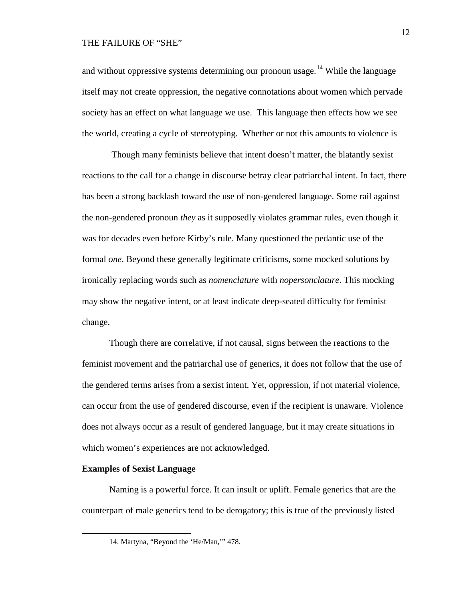and without oppressive systems determining our pronoun usage.<sup>[14](#page-11-0)</sup> While the language itself may not create oppression, the negative connotations about women which pervade society has an effect on what language we use. This language then effects how we see the world, creating a cycle of stereotyping. Whether or not this amounts to violence is

Though many feminists believe that intent doesn't matter, the blatantly sexist reactions to the call for a change in discourse betray clear patriarchal intent. In fact, there has been a strong backlash toward the use of non-gendered language. Some rail against the non-gendered pronoun *they* as it supposedly violates grammar rules, even though it was for decades even before Kirby's rule. Many questioned the pedantic use of the formal *one*. Beyond these generally legitimate criticisms, some mocked solutions by ironically replacing words such as *nomenclature* with *nopersonclature*. This mocking may show the negative intent, or at least indicate deep-seated difficulty for feminist change.

Though there are correlative, if not causal, signs between the reactions to the feminist movement and the patriarchal use of generics, it does not follow that the use of the gendered terms arises from a sexist intent. Yet, oppression, if not material violence, can occur from the use of gendered discourse, even if the recipient is unaware. Violence does not always occur as a result of gendered language, but it may create situations in which women's experiences are not acknowledged.

#### **Examples of Sexist Language**

<span id="page-11-0"></span> $\overline{a}$ 

Naming is a powerful force. It can insult or uplift. Female generics that are the counterpart of male generics tend to be derogatory; this is true of the previously listed

<sup>14.</sup> Martyna, "Beyond the 'He/Man,'" 478.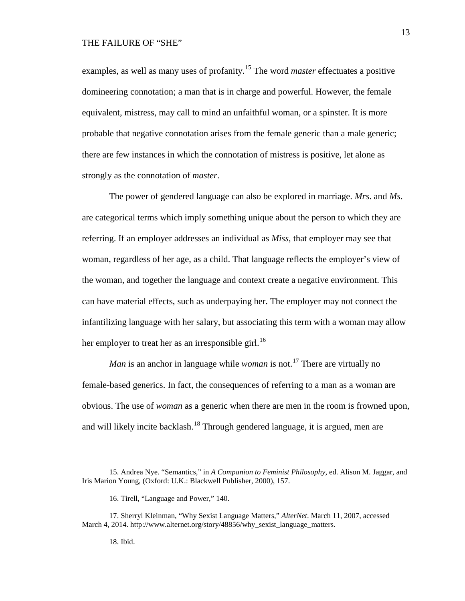examples, as well as many uses of profanity. [15](#page-12-0) The word *master* effectuates a positive domineering connotation; a man that is in charge and powerful. However, the female equivalent, mistress, may call to mind an unfaithful woman, or a spinster. It is more probable that negative connotation arises from the female generic than a male generic; there are few instances in which the connotation of mistress is positive, let alone as strongly as the connotation of *master*.

The power of gendered language can also be explored in marriage. *Mrs*. and *Ms*. are categorical terms which imply something unique about the person to which they are referring. If an employer addresses an individual as *Miss*, that employer may see that woman, regardless of her age, as a child. That language reflects the employer's view of the woman, and together the language and context create a negative environment. This can have material effects, such as underpaying her. The employer may not connect the infantilizing language with her salary, but associating this term with a woman may allow her employer to treat her as an irresponsible girl.<sup>[16](#page-12-1)</sup>

*Man* is an anchor in language while *woman* is not. [17](#page-12-2) There are virtually no female-based generics. In fact, the consequences of referring to a man as a woman are obvious. The use of *woman* as a generic when there are men in the room is frowned upon, and will likely incite backlash.<sup>[18](#page-12-3)</sup> Through gendered language, it is argued, men are

#### 18. Ibid.

<span id="page-12-0"></span><sup>15.</sup> Andrea Nye. "Semantics," in *A Companion to Feminist Philosophy*, ed. Alison M. Jaggar, and Iris Marion Young, (Oxford: U.K.: Blackwell Publisher, 2000), 157.

<sup>16.</sup> Tirell, "Language and Power," 140.

<span id="page-12-3"></span><span id="page-12-2"></span><span id="page-12-1"></span><sup>17.</sup> Sherryl Kleinman, "Why Sexist Language Matters," *AlterNet*. March 11, 2007, accessed March 4, 2014. http://www.alternet.org/story/48856/why\_sexist\_language\_matters.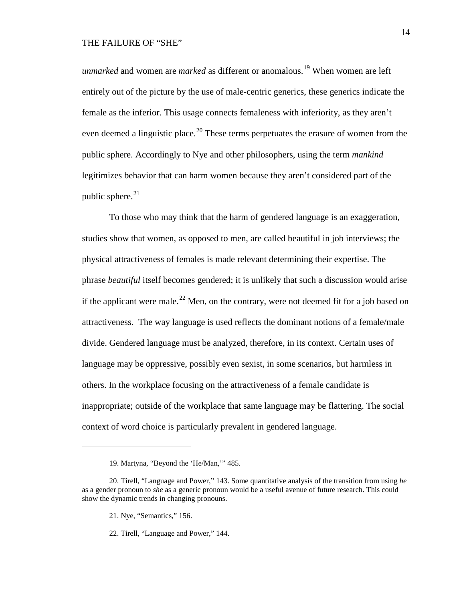*unmarked* and women are *marked* as different or anomalous.<sup>[19](#page-13-0)</sup> When women are left entirely out of the picture by the use of male-centric generics, these generics indicate the female as the inferior. This usage connects femaleness with inferiority, as they aren't even deemed a linguistic place.<sup>[20](#page-13-1)</sup> These terms perpetuates the erasure of women from the public sphere. Accordingly to Nye and other philosophers, using the term *mankind* legitimizes behavior that can harm women because they aren't considered part of the public sphere. $^{21}$  $^{21}$  $^{21}$ 

To those who may think that the harm of gendered language is an exaggeration, studies show that women, as opposed to men, are called beautiful in job interviews; the physical attractiveness of females is made relevant determining their expertise. The phrase *beautiful* itself becomes gendered; it is unlikely that such a discussion would arise if the applicant were male.<sup>[22](#page-13-3)</sup> Men, on the contrary, were not deemed fit for a job based on attractiveness. The way language is used reflects the dominant notions of a female/male divide. Gendered language must be analyzed, therefore, in its context. Certain uses of language may be oppressive, possibly even sexist, in some scenarios, but harmless in others. In the workplace focusing on the attractiveness of a female candidate is inappropriate; outside of the workplace that same language may be flattering. The social context of word choice is particularly prevalent in gendered language.

<sup>19.</sup> Martyna, "Beyond the 'He/Man,'" 485.

<span id="page-13-3"></span><span id="page-13-2"></span><span id="page-13-1"></span><span id="page-13-0"></span><sup>20.</sup> Tirell, "Language and Power," 143. Some quantitative analysis of the transition from using *he* as a gender pronoun to *she* as a generic pronoun would be a useful avenue of future research. This could show the dynamic trends in changing pronouns.

<sup>21.</sup> Nye, "Semantics," 156.

<sup>22.</sup> Tirell, "Language and Power," 144.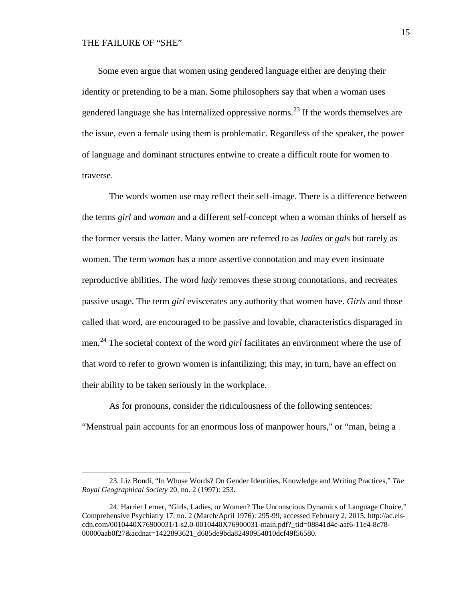$\overline{a}$ 

Some even argue that women using gendered language either are denying their identity or pretending to be a man. Some philosophers say that when a woman uses gendered language she has internalized oppressive norms.<sup>[23](#page-14-0)</sup> If the words themselves are the issue, even a female using them is problematic. Regardless of the speaker, the power of language and dominant structures entwine to create a difficult route for women to traverse.

The words women use may reflect their self-image. There is a difference between the terms *girl* and *woman* and a different self-concept when a woman thinks of herself as the former versus the latter. Many women are referred to as *ladies* or *gals* but rarely as women. The term *woman* has a more assertive connotation and may even insinuate reproductive abilities. The word *lady* removes these strong connotations, and recreates passive usage. The term *girl* eviscerates any authority that women have. *Girls* and those called that word, are encouraged to be passive and lovable, characteristics disparaged in men. [24](#page-14-1) The societal context of the word *girl* facilitates an environment where the use of that word to refer to grown women is infantilizing; this may, in turn, have an effect on their ability to be taken seriously in the workplace.

As for pronouns, consider the ridiculousness of the following sentences:

"Menstrual pain accounts for an enormous loss of manpower hours," or "man, being a

<span id="page-14-0"></span><sup>23.</sup> Liz Bondi, "In Whose Words? On Gender Identities, Knowledge and Writing Practices," *The Royal Geographical Society* 20, no. 2 (1997): 253.

<span id="page-14-1"></span><sup>24.</sup> Harriet Lerner, "Girls, Ladies, or Women? The Unconscious Dynamics of Language Choice," Comprehensive Psychiatry 17, no. 2 (March/April 1976): 295-99, accessed February 2, 2015, http://ac.elscdn.com/0010440X76900031/1-s2.0-0010440X76900031-main.pdf?\_tid=08841d4c-aaf6-11e4-8c78- 00000aab0f27&acdnat=1422893621\_d685de9bda82490954810dcf49f56580.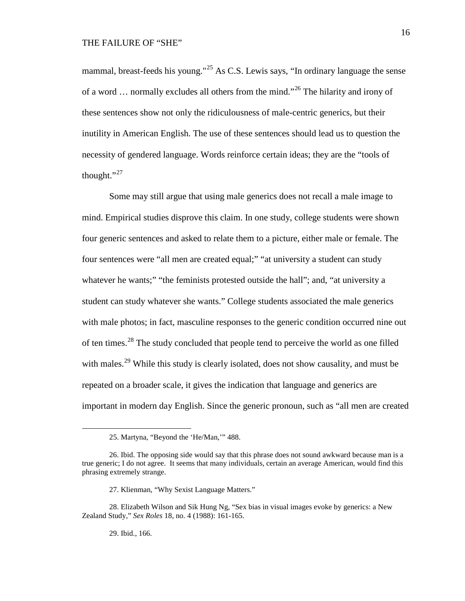mammal, breast-feeds his young."<sup>[25](#page-15-0)</sup> As C.S. Lewis says, "In ordinary language the sense of a word ... normally excludes all others from the mind."<sup>[26](#page-15-1)</sup> The hilarity and irony of these sentences show not only the ridiculousness of male-centric generics, but their inutility in American English. The use of these sentences should lead us to question the necessity of gendered language. Words reinforce certain ideas; they are the "tools of thought." $^{27}$  $^{27}$  $^{27}$ 

Some may still argue that using male generics does not recall a male image to mind. Empirical studies disprove this claim. In one study, college students were shown four generic sentences and asked to relate them to a picture, either male or female. The four sentences were "all men are created equal;" "at university a student can study whatever he wants;" "the feminists protested outside the hall"; and, "at university a student can study whatever she wants." College students associated the male generics with male photos; in fact, masculine responses to the generic condition occurred nine out of ten times.[28](#page-15-3) The study concluded that people tend to perceive the world as one filled with males.<sup>[29](#page-15-4)</sup> While this study is clearly isolated, does not show causality, and must be repeated on a broader scale, it gives the indication that language and generics are important in modern day English. Since the generic pronoun, such as "all men are created

29. Ibid., 166.

<sup>25.</sup> Martyna, "Beyond the 'He/Man,'" 488.

<span id="page-15-1"></span><span id="page-15-0"></span><sup>26.</sup> Ibid. The opposing side would say that this phrase does not sound awkward because man is a true generic; I do not agree. It seems that many individuals, certain an average American, would find this phrasing extremely strange.

<sup>27.</sup> Klienman, "Why Sexist Language Matters."

<span id="page-15-4"></span><span id="page-15-3"></span><span id="page-15-2"></span><sup>28.</sup> Elizabeth Wilson and Sik Hung Ng, "Sex bias in visual images evoke by generics: a New Zealand Study," *Sex Roles* 18, no. 4 (1988): 161-165.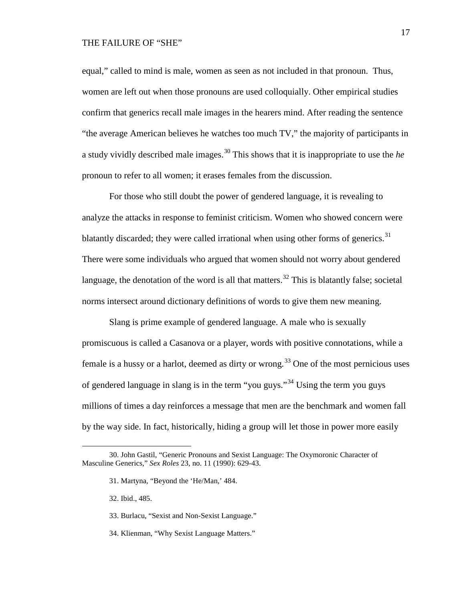equal," called to mind is male, women as seen as not included in that pronoun. Thus, women are left out when those pronouns are used colloquially. Other empirical studies confirm that generics recall male images in the hearers mind. After reading the sentence "the average American believes he watches too much TV," the majority of participants in a study vividly described male images. [30](#page-16-0) This shows that it is inappropriate to use the *he* pronoun to refer to all women; it erases females from the discussion.

For those who still doubt the power of gendered language, it is revealing to analyze the attacks in response to feminist criticism. Women who showed concern were blatantly discarded; they were called irrational when using other forms of generics.<sup>[31](#page-16-1)</sup> There were some individuals who argued that women should not worry about gendered language, the denotation of the word is all that matters.<sup>[32](#page-16-2)</sup> This is blatantly false; societal norms intersect around dictionary definitions of words to give them new meaning.

Slang is prime example of gendered language. A male who is sexually promiscuous is called a Casanova or a player, words with positive connotations, while a female is a hussy or a harlot, deemed as dirty or wrong.<sup>[33](#page-16-3)</sup> One of the most pernicious uses of gendered language in slang is in the term "you guys."[34](#page-16-4) Using the term you guys millions of times a day reinforces a message that men are the benchmark and women fall by the way side. In fact, historically, hiding a group will let those in power more easily

32. Ibid., 485.

- 33. Burlacu, "Sexist and Non-Sexist Language."
- <span id="page-16-4"></span>34. Klienman, "Why Sexist Language Matters."

<span id="page-16-3"></span><span id="page-16-2"></span><span id="page-16-1"></span><span id="page-16-0"></span><sup>30.</sup> John Gastil, "Generic Pronouns and Sexist Language: The Oxymoronic Character of Masculine Generics," *Sex Roles* 23, no. 11 (1990): 629-43.

<sup>31.</sup> Martyna, "Beyond the 'He/Man,' 484.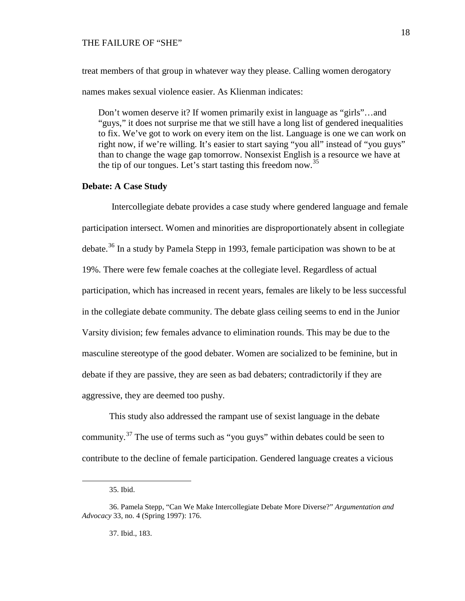treat members of that group in whatever way they please. Calling women derogatory names makes sexual violence easier. As Klienman indicates:

Don't women deserve it? If women primarily exist in language as "girls"…and "guys," it does not surprise me that we still have a long list of gendered inequalities to fix. We've got to work on every item on the list. Language is one we can work on right now, if we're willing. It's easier to start saying "you all" instead of "you guys" than to change the wage gap tomorrow. Nonsexist English is a resource we have at the tip of our tongues. Let's start tasting this freedom now.<sup>[35](#page-17-0)</sup>

## **Debate: A Case Study**

Intercollegiate debate provides a case study where gendered language and female participation intersect. Women and minorities are disproportionately absent in collegiate debate.<sup>[36](#page-17-1)</sup> In a study by Pamela Stepp in 1993, female participation was shown to be at 19%. There were few female coaches at the collegiate level. Regardless of actual participation, which has increased in recent years, females are likely to be less successful in the collegiate debate community. The debate glass ceiling seems to end in the Junior Varsity division; few females advance to elimination rounds. This may be due to the masculine stereotype of the good debater. Women are socialized to be feminine, but in debate if they are passive, they are seen as bad debaters; contradictorily if they are aggressive, they are deemed too pushy.

This study also addressed the rampant use of sexist language in the debate community.[37](#page-17-2) The use of terms such as "you guys" within debates could be seen to contribute to the decline of female participation. Gendered language creates a vicious

<sup>35.</sup> Ibid.

<span id="page-17-2"></span><span id="page-17-1"></span><span id="page-17-0"></span><sup>36.</sup> Pamela Stepp, "Can We Make Intercollegiate Debate More Diverse?" *Argumentation and Advocacy* 33, no. 4 (Spring 1997): 176.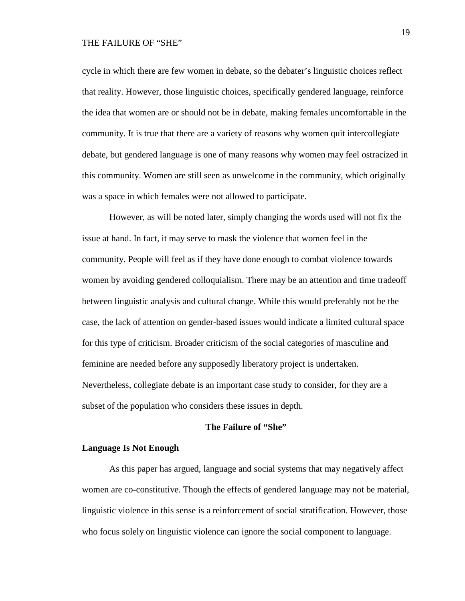cycle in which there are few women in debate, so the debater's linguistic choices reflect that reality. However, those linguistic choices, specifically gendered language, reinforce the idea that women are or should not be in debate, making females uncomfortable in the community. It is true that there are a variety of reasons why women quit intercollegiate debate, but gendered language is one of many reasons why women may feel ostracized in this community. Women are still seen as unwelcome in the community, which originally was a space in which females were not allowed to participate.

However, as will be noted later, simply changing the words used will not fix the issue at hand. In fact, it may serve to mask the violence that women feel in the community. People will feel as if they have done enough to combat violence towards women by avoiding gendered colloquialism. There may be an attention and time tradeoff between linguistic analysis and cultural change. While this would preferably not be the case, the lack of attention on gender-based issues would indicate a limited cultural space for this type of criticism. Broader criticism of the social categories of masculine and feminine are needed before any supposedly liberatory project is undertaken. Nevertheless, collegiate debate is an important case study to consider, for they are a subset of the population who considers these issues in depth.

# **The Failure of "She"**

#### **Language Is Not Enough**

As this paper has argued, language and social systems that may negatively affect women are co-constitutive. Though the effects of gendered language may not be material, linguistic violence in this sense is a reinforcement of social stratification. However, those who focus solely on linguistic violence can ignore the social component to language.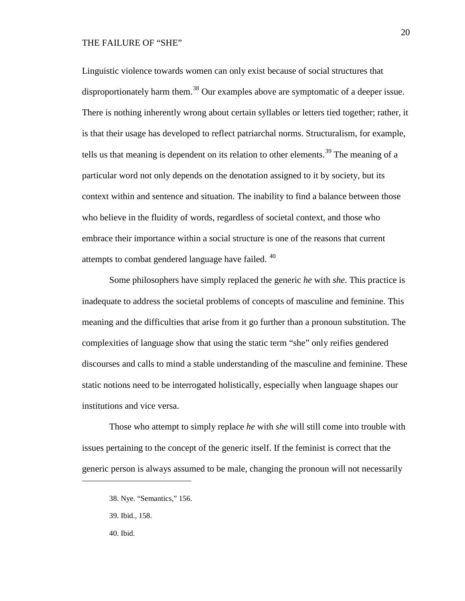Linguistic violence towards women can only exist because of social structures that disproportionately harm them.<sup>[38](#page-19-0)</sup> Our examples above are symptomatic of a deeper issue. There is nothing inherently wrong about certain syllables or letters tied together; rather, it is that their usage has developed to reflect patriarchal norms. Structuralism, for example, tells us that meaning is dependent on its relation to other elements.<sup>[39](#page-19-1)</sup> The meaning of a particular word not only depends on the denotation assigned to it by society, but its context within and sentence and situation. The inability to find a balance between those who believe in the fluidity of words, regardless of societal context, and those who embrace their importance within a social structure is one of the reasons that current attempts to combat gendered language have failed. <sup>[40](#page-19-2)</sup>

Some philosophers have simply replaced the generic *he* with *she*. This practice is inadequate to address the societal problems of concepts of masculine and feminine. This meaning and the difficulties that arise from it go further than a pronoun substitution. The complexities of language show that using the static term "she" only reifies gendered discourses and calls to mind a stable understanding of the masculine and feminine. These static notions need to be interrogated holistically, especially when language shapes our institutions and vice versa.

<span id="page-19-0"></span>Those who attempt to simply replace *he* with *she* will still come into trouble with issues pertaining to the concept of the generic itself. If the feminist is correct that the generic person is always assumed to be male, changing the pronoun will not necessarily

- <span id="page-19-1"></span>39. Ibid., 158.
- <span id="page-19-2"></span>40. Ibid.

<sup>38.</sup> Nye. "Semantics," 156.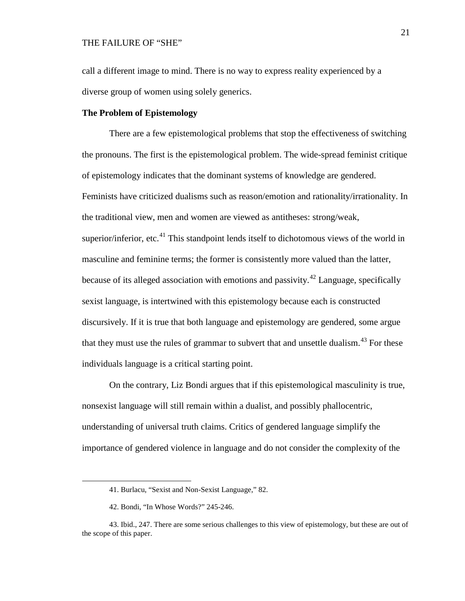call a different image to mind. There is no way to express reality experienced by a diverse group of women using solely generics.

#### **The Problem of Epistemology**

There are a few epistemological problems that stop the effectiveness of switching the pronouns. The first is the epistemological problem. The wide-spread feminist critique of epistemology indicates that the dominant systems of knowledge are gendered. Feminists have criticized dualisms such as reason/emotion and rationality/irrationality. In the traditional view, men and women are viewed as antitheses: strong/weak, superior/inferior, etc.<sup>[41](#page-20-0)</sup> This standpoint lends itself to dichotomous views of the world in masculine and feminine terms; the former is consistently more valued than the latter, because of its alleged association with emotions and passivity.<sup>[42](#page-20-1)</sup> Language, specifically sexist language, is intertwined with this epistemology because each is constructed discursively. If it is true that both language and epistemology are gendered, some argue that they must use the rules of grammar to subvert that and unsettle dualism.<sup>[43](#page-20-2)</sup> For these individuals language is a critical starting point.

On the contrary, Liz Bondi argues that if this epistemological masculinity is true, nonsexist language will still remain within a dualist, and possibly phallocentric, understanding of universal truth claims. Critics of gendered language simplify the importance of gendered violence in language and do not consider the complexity of the

<sup>41.</sup> Burlacu, "Sexist and Non-Sexist Language," 82.

<sup>42.</sup> Bondi, "In Whose Words?" 245-246.

<span id="page-20-2"></span><span id="page-20-1"></span><span id="page-20-0"></span><sup>43.</sup> Ibid., 247. There are some serious challenges to this view of epistemology, but these are out of the scope of this paper.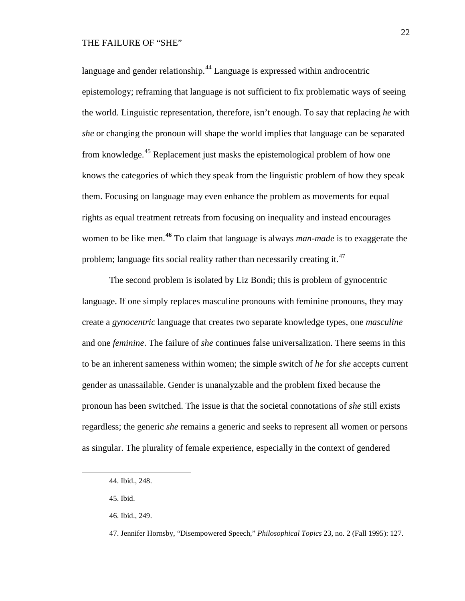language and gender relationship.<sup>[44](#page-21-0)</sup> Language is expressed within androcentric epistemology; reframing that language is not sufficient to fix problematic ways of seeing the world. Linguistic representation, therefore, isn't enough. To say that replacing *he* with *she* or changing the pronoun will shape the world implies that language can be separated from knowledge.[45](#page-21-1) Replacement just masks the epistemological problem of how one knows the categories of which they speak from the linguistic problem of how they speak them. Focusing on language may even enhance the problem as movements for equal rights as equal treatment retreats from focusing on inequality and instead encourages women to be like men.**[46](#page-21-2)** To claim that language is always *man-made* is to exaggerate the problem; language fits social reality rather than necessarily creating it.<sup>[47](#page-21-3)</sup>

The second problem is isolated by Liz Bondi; this is problem of gynocentric language. If one simply replaces masculine pronouns with feminine pronouns, they may create a *gynocentric* language that creates two separate knowledge types, one *masculine* and one *feminine*. The failure of *she* continues false universalization. There seems in this to be an inherent sameness within women; the simple switch of *he* for *she* accepts current gender as unassailable. Gender is unanalyzable and the problem fixed because the pronoun has been switched. The issue is that the societal connotations of *she* still exists regardless; the generic *she* remains a generic and seeks to represent all women or persons as singular. The plurality of female experience, especially in the context of gendered

<span id="page-21-0"></span><sup>44.</sup> Ibid., 248.

<span id="page-21-1"></span><sup>45.</sup> Ibid.

<span id="page-21-2"></span><sup>46.</sup> Ibid., 249.

<span id="page-21-3"></span><sup>47.</sup> Jennifer Hornsby, "Disempowered Speech," *Philosophical Topics* 23, no. 2 (Fall 1995): 127.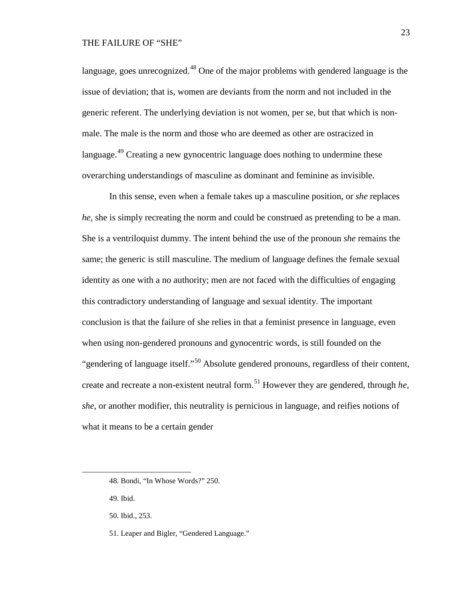language, goes unrecognized.<sup>[48](#page-22-0)</sup> One of the major problems with gendered language is the issue of deviation; that is, women are deviants from the norm and not included in the generic referent. The underlying deviation is not women, per se, but that which is nonmale. The male is the norm and those who are deemed as other are ostracized in language.<sup>[49](#page-22-1)</sup> Creating a new gynocentric language does nothing to undermine these overarching understandings of masculine as dominant and feminine as invisible.

In this sense, even when a female takes up a masculine position, or *she* replaces *he*, she is simply recreating the norm and could be construed as pretending to be a man. She is a ventriloquist dummy. The intent behind the use of the pronoun *she* remains the same; the generic is still masculine. The medium of language defines the female sexual identity as one with a no authority; men are not faced with the difficulties of engaging this contradictory understanding of language and sexual identity. The important conclusion is that the failure of she relies in that a feminist presence in language, even when using non-gendered pronouns and gynocentric words, is still founded on the "gendering of language itself."[50](#page-22-2) Absolute gendered pronouns, regardless of their content, create and recreate a non-existent neutral form.[51](#page-22-3) However they are gendered, through *he, she*, or another modifier, this neutrality is pernicious in language, and reifies notions of what it means to be a certain gender

<span id="page-22-1"></span>49. Ibid.

<span id="page-22-0"></span><sup>48.</sup> Bondi, "In Whose Words?" 250.

<span id="page-22-2"></span><sup>50.</sup> Ibid., 253.

<span id="page-22-3"></span><sup>51.</sup> Leaper and Bigler, "Gendered Language."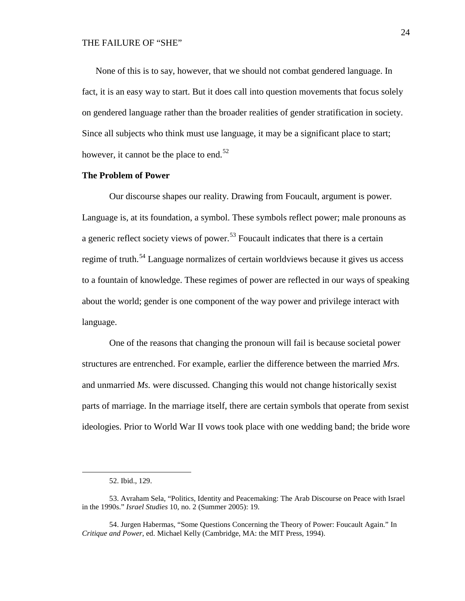None of this is to say, however, that we should not combat gendered language. In fact, it is an easy way to start. But it does call into question movements that focus solely on gendered language rather than the broader realities of gender stratification in society. Since all subjects who think must use language, it may be a significant place to start; however, it cannot be the place to end.<sup>[52](#page-23-0)</sup>

# **The Problem of Power**

Our discourse shapes our reality. Drawing from Foucault, argument is power. Language is, at its foundation, a symbol. These symbols reflect power; male pronouns as a generic reflect society views of power.<sup>[53](#page-23-1)</sup> Foucault indicates that there is a certain regime of truth.<sup>[54](#page-23-2)</sup> Language normalizes of certain worldviews because it gives us access to a fountain of knowledge. These regimes of power are reflected in our ways of speaking about the world; gender is one component of the way power and privilege interact with language.

One of the reasons that changing the pronoun will fail is because societal power structures are entrenched. For example, earlier the difference between the married *Mrs.* and unmarried *Ms.* were discussed. Changing this would not change historically sexist parts of marriage. In the marriage itself, there are certain symbols that operate from sexist ideologies. Prior to World War II vows took place with one wedding band; the bride wore

<sup>52.</sup> Ibid., 129.

<span id="page-23-1"></span><span id="page-23-0"></span><sup>53.</sup> Avraham Sela, "Politics, Identity and Peacemaking: The Arab Discourse on Peace with Israel in the 1990s." *Israel Studies* 10, no. 2 (Summer 2005): 19.

<span id="page-23-2"></span><sup>54.</sup> Jurgen Habermas, "Some Questions Concerning the Theory of Power: Foucault Again." In *Critique and Power*, ed. Michael Kelly (Cambridge, MA: the MIT Press, 1994).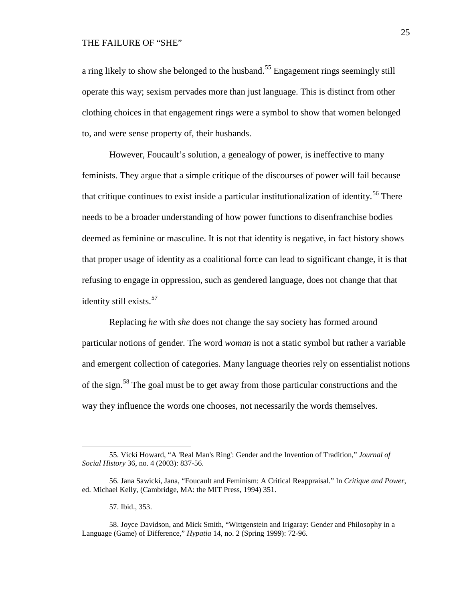a ring likely to show she belonged to the husband.<sup>[55](#page-24-0)</sup> Engagement rings seemingly still operate this way; sexism pervades more than just language. This is distinct from other clothing choices in that engagement rings were a symbol to show that women belonged to, and were sense property of, their husbands.

However, Foucault's solution, a genealogy of power, is ineffective to many feminists. They argue that a simple critique of the discourses of power will fail because that critique continues to exist inside a particular institutionalization of identity.<sup>[56](#page-24-1)</sup> There needs to be a broader understanding of how power functions to disenfranchise bodies deemed as feminine or masculine. It is not that identity is negative, in fact history shows that proper usage of identity as a coalitional force can lead to significant change, it is that refusing to engage in oppression, such as gendered language, does not change that that identity still exists.<sup>[57](#page-24-2)</sup>

Replacing *he* with *she* does not change the say society has formed around particular notions of gender. The word *woman* is not a static symbol but rather a variable and emergent collection of categories. Many language theories rely on essentialist notions of the sign.[58](#page-24-3) The goal must be to get away from those particular constructions and the way they influence the words one chooses, not necessarily the words themselves.

57. Ibid., 353.

<span id="page-24-0"></span><sup>55.</sup> Vicki Howard, "A 'Real Man's Ring': Gender and the Invention of Tradition," *Journal of Social History* 36, no. 4 (2003): 837-56.

<span id="page-24-1"></span><sup>56.</sup> Jana Sawicki, Jana, "Foucault and Feminism: A Critical Reappraisal." In *Critique and Power*, ed. Michael Kelly, (Cambridge, MA: the MIT Press, 1994) 351.

<span id="page-24-3"></span><span id="page-24-2"></span><sup>58.</sup> Joyce Davidson, and Mick Smith, "Wittgenstein and Irigaray: Gender and Philosophy in a Language (Game) of Difference," *Hypatia* 14, no. 2 (Spring 1999): 72-96.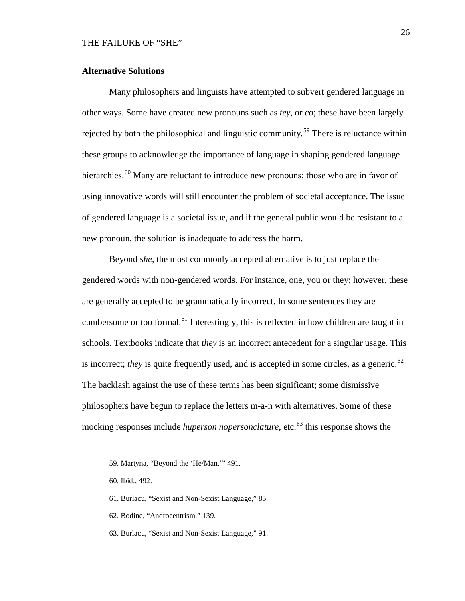# **Alternative Solutions**

Many philosophers and linguists have attempted to subvert gendered language in other ways. Some have created new pronouns such as *tey*, or *co*; these have been largely rejected by both the philosophical and linguistic community.<sup>[59](#page-25-0)</sup> There is reluctance within these groups to acknowledge the importance of language in shaping gendered language hierarchies.<sup>[60](#page-25-1)</sup> Many are reluctant to introduce new pronouns; those who are in favor of using innovative words will still encounter the problem of societal acceptance. The issue of gendered language is a societal issue, and if the general public would be resistant to a new pronoun, the solution is inadequate to address the harm.

Beyond *she*, the most commonly accepted alternative is to just replace the gendered words with non-gendered words. For instance, one, you or they; however, these are generally accepted to be grammatically incorrect. In some sentences they are cumbersome or too formal.<sup>[61](#page-25-2)</sup> Interestingly, this is reflected in how children are taught in schools. Textbooks indicate that *they* is an incorrect antecedent for a singular usage. This is incorrect; *they* is quite frequently used, and is accepted in some circles, as a generic.<sup>[62](#page-25-3)</sup> The backlash against the use of these terms has been significant; some dismissive philosophers have begun to replace the letters m-a-n with alternatives. Some of these mocking responses include *huperson nopersonclature*, etc.<sup>[63](#page-25-4)</sup> this response shows the

- <span id="page-25-3"></span>62. Bodine, "Androcentrism," 139.
- <span id="page-25-4"></span>63. Burlacu, "Sexist and Non-Sexist Language," 91.

<span id="page-25-0"></span><sup>59.</sup> Martyna, "Beyond the 'He/Man,'" 491.

<span id="page-25-1"></span><sup>60.</sup> Ibid., 492.

<span id="page-25-2"></span><sup>61.</sup> Burlacu, "Sexist and Non-Sexist Language," 85.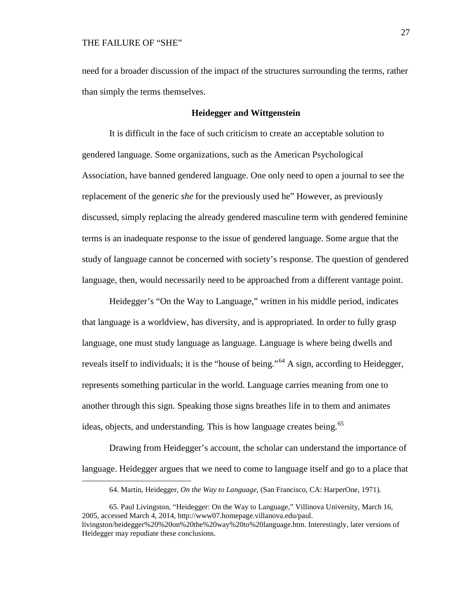<span id="page-26-0"></span> $\overline{a}$ 

need for a broader discussion of the impact of the structures surrounding the terms, rather than simply the terms themselves.

### **Heidegger and Wittgenstein**

It is difficult in the face of such criticism to create an acceptable solution to gendered language. Some organizations, such as the American Psychological Association, have banned gendered language. One only need to open a journal to see the replacement of the generic *she* for the previously used he" However, as previously discussed, simply replacing the already gendered masculine term with gendered feminine terms is an inadequate response to the issue of gendered language. Some argue that the study of language cannot be concerned with society's response. The question of gendered language, then, would necessarily need to be approached from a different vantage point.

Heidegger's "On the Way to Language," written in his middle period, indicates that language is a worldview, has diversity, and is appropriated. In order to fully grasp language, one must study language as language. Language is where being dwells and reveals itself to individuals; it is the "house of being."<sup>[64](#page-26-0)</sup> A sign, according to Heidegger, represents something particular in the world. Language carries meaning from one to another through this sign. Speaking those signs breathes life in to them and animates ideas, objects, and understanding. This is how language creates being.<sup>[65](#page-26-1)</sup>

Drawing from Heidegger's account, the scholar can understand the importance of language. Heidegger argues that we need to come to language itself and go to a place that

<sup>64.</sup> Martin, Heidegger, *On the Way to Language*, (San Francisco, CA: HarperOne, 1971).

<span id="page-26-1"></span><sup>65.</sup> Paul Livingston, "Heidegger: On the Way to Language," Villinova University, March 16, 2005, accessed March 4, 2014, [http://www07.homepage.villanova.edu/paul.](http://www07.homepage.villanova.edu/paul.%20livingston/heidegger%20%20on%20the%20way%20to%20language.htm)  [livingston/heidegger%20%20on%20the%20way%20to%20language.htm.](http://www07.homepage.villanova.edu/paul.%20livingston/heidegger%20%20on%20the%20way%20to%20language.htm) Interestingly, later versions of Heidegger may repudiate these conclusions.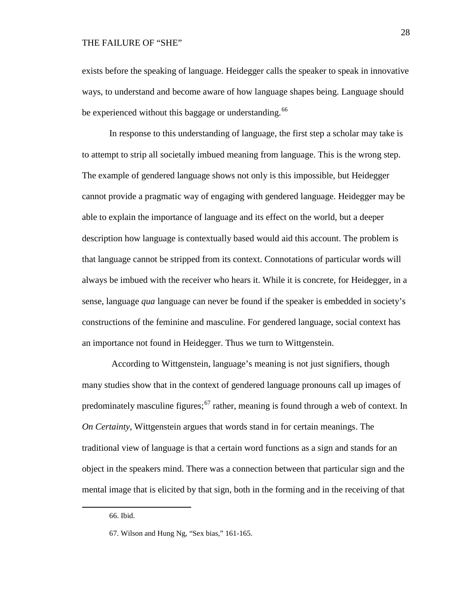exists before the speaking of language. Heidegger calls the speaker to speak in innovative ways, to understand and become aware of how language shapes being. Language should be experienced without this baggage or understanding.<sup>[66](#page-27-0)</sup>

In response to this understanding of language, the first step a scholar may take is to attempt to strip all societally imbued meaning from language. This is the wrong step. The example of gendered language shows not only is this impossible, but Heidegger cannot provide a pragmatic way of engaging with gendered language. Heidegger may be able to explain the importance of language and its effect on the world, but a deeper description how language is contextually based would aid this account. The problem is that language cannot be stripped from its context. Connotations of particular words will always be imbued with the receiver who hears it. While it is concrete, for Heidegger, in a sense, language *qua* language can never be found if the speaker is embedded in society's constructions of the feminine and masculine. For gendered language, social context has an importance not found in Heidegger. Thus we turn to Wittgenstein.

According to Wittgenstein, language's meaning is not just signifiers, though many studies show that in the context of gendered language pronouns call up images of predominately masculine figures;<sup>[67](#page-27-1)</sup> rather, meaning is found through a web of context. In *On Certainty*, Wittgenstein argues that words stand in for certain meanings. The traditional view of language is that a certain word functions as a sign and stands for an object in the speakers mind. There was a connection between that particular sign and the mental image that is elicited by that sign, both in the forming and in the receiving of that

<span id="page-27-0"></span><sup>66.</sup> Ibid.

<span id="page-27-1"></span><sup>67.</sup> Wilson and Hung Ng, "Sex bias," 161-165.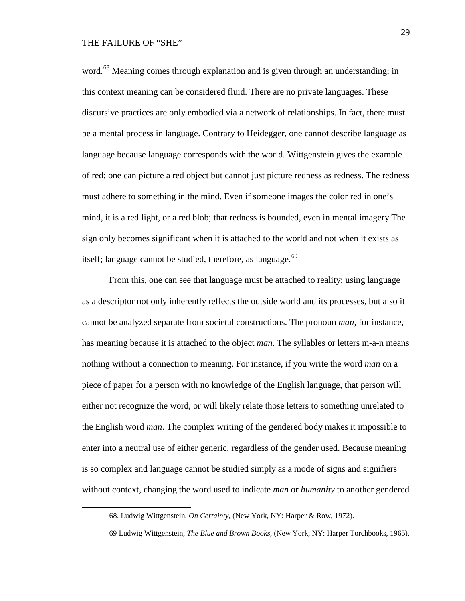<span id="page-28-1"></span><span id="page-28-0"></span> $\overline{a}$ 

word.<sup>[68](#page-28-0)</sup> Meaning comes through explanation and is given through an understanding; in this context meaning can be considered fluid. There are no private languages. These discursive practices are only embodied via a network of relationships. In fact, there must be a mental process in language. Contrary to Heidegger, one cannot describe language as language because language corresponds with the world. Wittgenstein gives the example of red; one can picture a red object but cannot just picture redness as redness. The redness must adhere to something in the mind. Even if someone images the color red in one's mind, it is a red light, or a red blob; that redness is bounded, even in mental imagery The sign only becomes significant when it is attached to the world and not when it exists as itself; language cannot be studied, therefore, as language. $69$ 

From this, one can see that language must be attached to reality; using language as a descriptor not only inherently reflects the outside world and its processes, but also it cannot be analyzed separate from societal constructions. The pronoun *man*, for instance, has meaning because it is attached to the object *man*. The syllables or letters m-a-n means nothing without a connection to meaning. For instance, if you write the word *man* on a piece of paper for a person with no knowledge of the English language, that person will either not recognize the word, or will likely relate those letters to something unrelated to the English word *man*. The complex writing of the gendered body makes it impossible to enter into a neutral use of either generic, regardless of the gender used. Because meaning is so complex and language cannot be studied simply as a mode of signs and signifiers without context, changing the word used to indicate *man* or *humanity* to another gendered

<sup>68.</sup> Ludwig Wittgenstein, *On Certainty*, (New York, NY: Harper & Row, 1972).

<sup>69</sup> Ludwig Wittgenstein, *The Blue and Brown Books*, (New York, NY: Harper Torchbooks, 1965).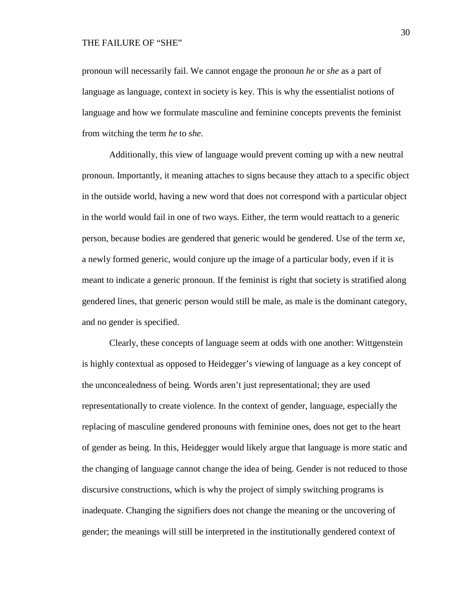pronoun will necessarily fail. We cannot engage the pronoun *he* or *she* as a part of language as language, context in society is key. This is why the essentialist notions of language and how we formulate masculine and feminine concepts prevents the feminist from witching the term *he* to *she*.

Additionally, this view of language would prevent coming up with a new neutral pronoun. Importantly, it meaning attaches to signs because they attach to a specific object in the outside world, having a new word that does not correspond with a particular object in the world would fail in one of two ways. Either, the term would reattach to a generic person, because bodies are gendered that generic would be gendered. Use of the term *xe*, a newly formed generic, would conjure up the image of a particular body, even if it is meant to indicate a generic pronoun. If the feminist is right that society is stratified along gendered lines, that generic person would still be male, as male is the dominant category, and no gender is specified.

Clearly, these concepts of language seem at odds with one another: Wittgenstein is highly contextual as opposed to Heidegger's viewing of language as a key concept of the unconcealedness of being. Words aren't just representational; they are used representationally to create violence. In the context of gender, language, especially the replacing of masculine gendered pronouns with feminine ones, does not get to the heart of gender as being. In this, Heidegger would likely argue that language is more static and the changing of language cannot change the idea of being. Gender is not reduced to those discursive constructions, which is why the project of simply switching programs is inadequate. Changing the signifiers does not change the meaning or the uncovering of gender; the meanings will still be interpreted in the institutionally gendered context of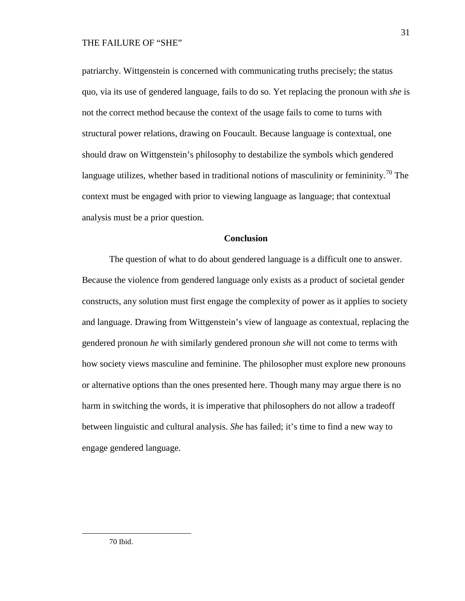patriarchy. Wittgenstein is concerned with communicating truths precisely; the status quo, via its use of gendered language, fails to do so. Yet replacing the pronoun with *she* is not the correct method because the context of the usage fails to come to turns with structural power relations, drawing on Foucault. Because language is contextual, one should draw on Wittgenstein's philosophy to destabilize the symbols which gendered language utilizes, whether based in traditional notions of masculinity or femininity.<sup>[70](#page-30-0)</sup> The context must be engaged with prior to viewing language as language; that contextual analysis must be a prior question.

#### **Conclusion**

<span id="page-30-0"></span>The question of what to do about gendered language is a difficult one to answer. Because the violence from gendered language only exists as a product of societal gender constructs, any solution must first engage the complexity of power as it applies to society and language. Drawing from Wittgenstein's view of language as contextual, replacing the gendered pronoun *he* with similarly gendered pronoun *she* will not come to terms with how society views masculine and feminine. The philosopher must explore new pronouns or alternative options than the ones presented here. Though many may argue there is no harm in switching the words, it is imperative that philosophers do not allow a tradeoff between linguistic and cultural analysis. *She* has failed; it's time to find a new way to engage gendered language.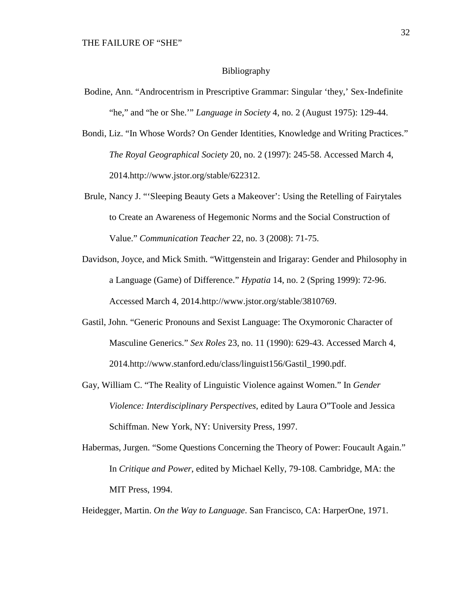#### Bibliography

- Bodine, Ann. "Androcentrism in Prescriptive Grammar: Singular 'they,' Sex-Indefinite "he," and "he or She.'" *Language in Society* 4, no. 2 (August 1975): 129-44.
- Bondi, Liz. "In Whose Words? On Gender Identities, Knowledge and Writing Practices." *The Royal Geographical Society* 20, no. 2 (1997): 245-58. Accessed March 4, 2014.http://www.jstor.org/stable/622312.
- Brule, Nancy J. "'Sleeping Beauty Gets a Makeover': Using the Retelling of Fairytales to Create an Awareness of Hegemonic Norms and the Social Construction of Value." *Communication Teacher* 22, no. 3 (2008): 71-75.
- Davidson, Joyce, and Mick Smith. "Wittgenstein and Irigaray: Gender and Philosophy in a Language (Game) of Difference." *Hypatia* 14, no. 2 (Spring 1999): 72-96. Accessed March 4, 2014.http://www.jstor.org/stable/3810769.
- Gastil, John. "Generic Pronouns and Sexist Language: The Oxymoronic Character of Masculine Generics." *Sex Roles* 23, no. 11 (1990): 629-43. Accessed March 4, 2014.http://www.stanford.edu/class/linguist156/Gastil\_1990.pdf.
- Gay, William C. "The Reality of Linguistic Violence against Women." In *Gender Violence: Interdisciplinary Perspectives*, edited by Laura O"Toole and Jessica Schiffman. New York, NY: University Press, 1997.
- Habermas, Jurgen. "Some Questions Concerning the Theory of Power: Foucault Again." In *Critique and Power*, edited by Michael Kelly, 79-108. Cambridge, MA: the MIT Press, 1994.

Heidegger, Martin. *On the Way to Language*. San Francisco, CA: HarperOne, 1971.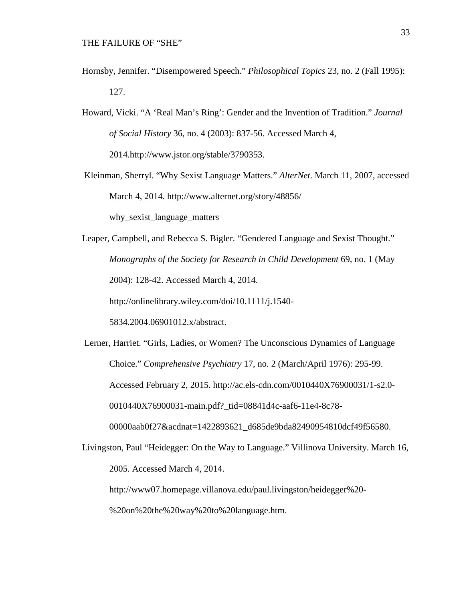- Hornsby, Jennifer. "Disempowered Speech." *Philosophical Topics* 23, no. 2 (Fall 1995): 127.
- Howard, Vicki. "A 'Real Man's Ring': Gender and the Invention of Tradition." *Journal of Social History* 36, no. 4 (2003): 837-56. Accessed March 4, 2014.http://www.jstor.org/stable/3790353.
- Kleinman, Sherryl. "Why Sexist Language Matters." *AlterNet*. March 11, 2007, accessed March 4, 2014.<http://www.alternet.org/story/48856/>

why\_sexist\_language\_matters

Leaper, Campbell, and Rebecca S. Bigler. "Gendered Language and Sexist Thought." *Monographs of the Society for Research in Child Development* 69, no. 1 (May 2004): 128-42. Accessed March 4, 2014. [http://onlinelibrary.wiley.com/doi/10.1111/j.1540-](http://onlinelibrary.wiley.com/doi/10.1111/j.1540-5834.2004.06901012.x/abstract)

[5834.2004.06901012.x/abstract.](http://onlinelibrary.wiley.com/doi/10.1111/j.1540-5834.2004.06901012.x/abstract)

Lerner, Harriet. "Girls, Ladies, or Women? The Unconscious Dynamics of Language Choice." *Comprehensive Psychiatry* 17, no. 2 (March/April 1976): 295-99. Accessed February 2, 2015. http://ac.els-cdn.com/0010440X76900031/1-s2.0- 0010440X76900031-main.pdf?\_tid=08841d4c-aaf6-11e4-8c78- 00000aab0f27&acdnat=1422893621\_d685de9bda82490954810dcf49f56580.

Livingston, Paul "Heidegger: On the Way to Language." Villinova University. March 16, 2005. Accessed March 4, 2014.

http://www07.homepage.villanova.edu/paul.livingston/heidegger%20-

%20on%20the%20way%20to%20language.htm.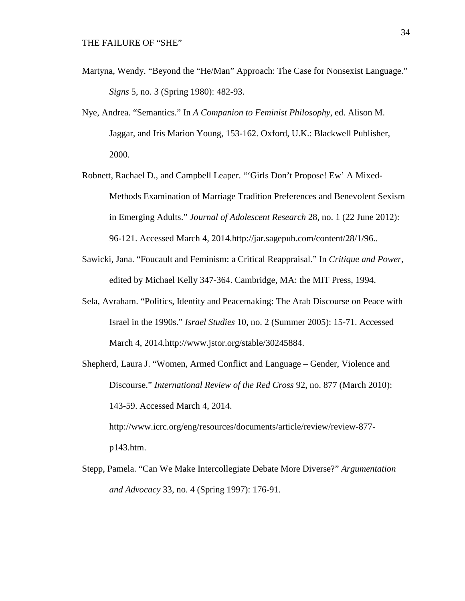- Martyna, Wendy. "Beyond the "He/Man" Approach: The Case for Nonsexist Language." *Signs* 5, no. 3 (Spring 1980): 482-93.
- Nye, Andrea. "Semantics." In *A Companion to Feminist Philosophy*, ed. Alison M. Jaggar, and Iris Marion Young, 153-162. Oxford, U.K.: Blackwell Publisher, 2000.
- Robnett, Rachael D., and Campbell Leaper. "'Girls Don't Propose! Ew' A Mixed-Methods Examination of Marriage Tradition Preferences and Benevolent Sexism in Emerging Adults." *Journal of Adolescent Research* 28, no. 1 (22 June 2012): 96-121. Accessed March 4, 2014.http://jar.sagepub.com/content/28/1/96..
- Sawicki, Jana. "Foucault and Feminism: a Critical Reappraisal." In *Critique and Power*, edited by Michael Kelly 347-364. Cambridge, MA: the MIT Press, 1994.
- Sela, Avraham. "Politics, Identity and Peacemaking: The Arab Discourse on Peace with Israel in the 1990s." *Israel Studies* 10, no. 2 (Summer 2005): 15-71. Accessed March 4, 2014.http://www.jstor.org/stable/30245884.
- Shepherd, Laura J. "Women, Armed Conflict and Language Gender, Violence and Discourse." *International Review of the Red Cross* 92, no. 877 (March 2010): 143-59. Accessed March 4, 2014.

http://www.icrc.org/eng/resources/documents/article/review/review-877 p143.htm.

Stepp, Pamela. "Can We Make Intercollegiate Debate More Diverse?" *Argumentation and Advocacy* 33, no. 4 (Spring 1997): 176-91.